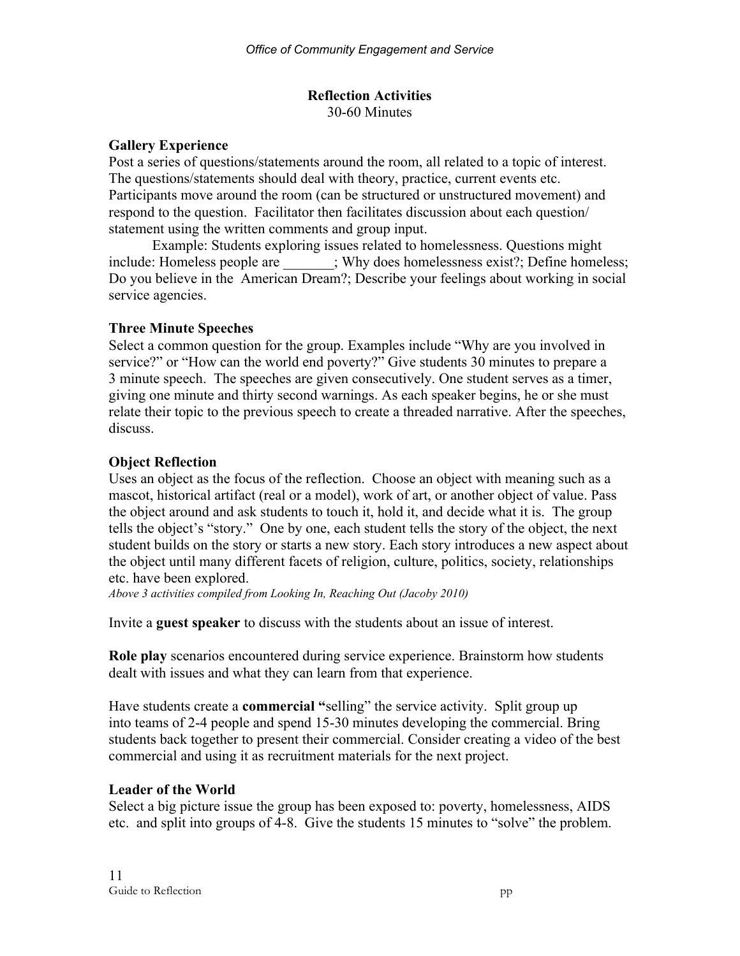#### **Reflection Activities** 30-60 Minutes

### **Gallery Experience**

Post a series of questions/statements around the room, all related to a topic of interest. The questions/statements should deal with theory, practice, current events etc. Participants move around the room (can be structured or unstructured movement) and respond to the question. Facilitator then facilitates discussion about each question/ statement using the written comments and group input.

Example: Students exploring issues related to homelessness. Questions might include: Homeless people are \_\_\_\_\_\_; Why does homelessness exist?; Define homeless; Do you believe in the American Dream?; Describe your feelings about working in social service agencies.

### **Three Minute Speeches**

Select a common question for the group. Examples include "Why are you involved in service?" or "How can the world end poverty?" Give students 30 minutes to prepare a 3 minute speech. The speeches are given consecutively. One student serves as a timer, giving one minute and thirty second warnings. As each speaker begins, he or she must relate their topic to the previous speech to create a threaded narrative. After the speeches, discuss.

### **Object Reflection**

Uses an object as the focus of the reflection. Choose an object with meaning such as a mascot, historical artifact (real or a model), work of art, or another object of value. Pass the object around and ask students to touch it, hold it, and decide what it is. The group tells the object's "story." One by one, each student tells the story of the object, the next student builds on the story or starts a new story. Each story introduces a new aspect about the object until many different facets of religion, culture, politics, society, relationships etc. have been explored.

*Above 3 activities compiled from Looking In, Reaching Out (Jacoby 2010)*

Invite a **guest speaker** to discuss with the students about an issue of interest.

**Role play** scenarios encountered during service experience. Brainstorm how students dealt with issues and what they can learn from that experience.

Have students create a **commercial "**selling" the service activity. Split group up into teams of 2-4 people and spend 15-30 minutes developing the commercial. Bring students back together to present their commercial. Consider creating a video of the best commercial and using it as recruitment materials for the next project.

## **Leader of the World**

Select a big picture issue the group has been exposed to: poverty, homelessness, AIDS etc. and split into groups of 4-8. Give the students 15 minutes to "solve" the problem.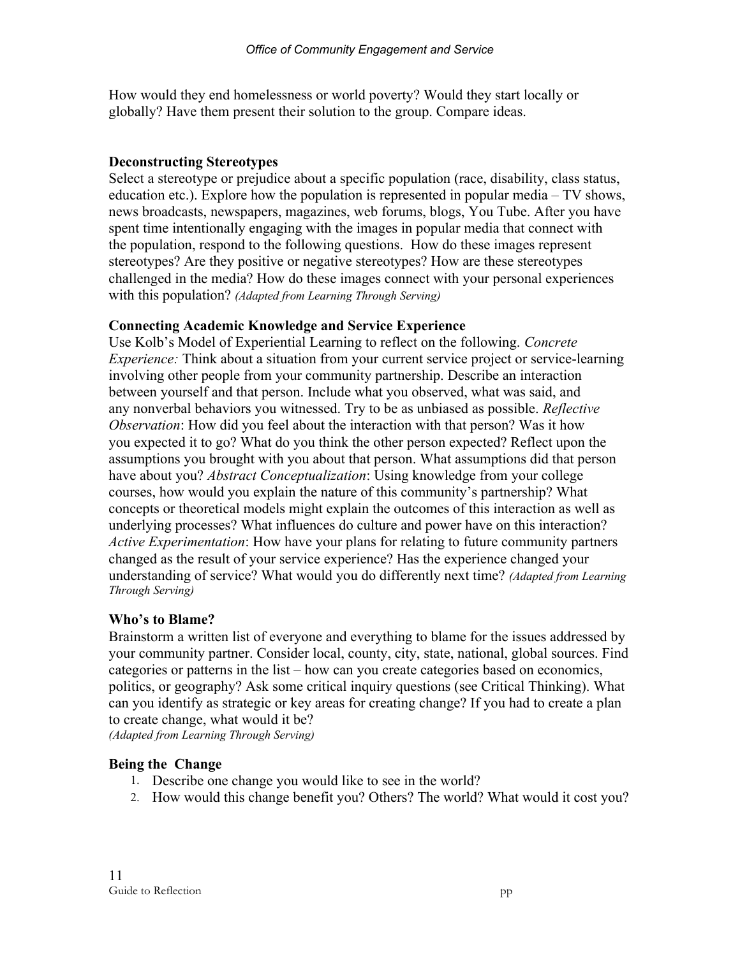How would they end homelessness or world poverty? Would they start locally or globally? Have them present their solution to the group. Compare ideas.

#### **Deconstructing Stereotypes**

Select a stereotype or prejudice about a specific population (race, disability, class status, education etc.). Explore how the population is represented in popular media – TV shows, news broadcasts, newspapers, magazines, web forums, blogs, You Tube. After you have spent time intentionally engaging with the images in popular media that connect with the population, respond to the following questions. How do these images represent stereotypes? Are they positive or negative stereotypes? How are these stereotypes challenged in the media? How do these images connect with your personal experiences with this population? *(Adapted from Learning Through Serving)*

### **Connecting Academic Knowledge and Service Experience**

Use Kolb's Model of Experiential Learning to reflect on the following. *Concrete Experience:* Think about a situation from your current service project or service-learning involving other people from your community partnership. Describe an interaction between yourself and that person. Include what you observed, what was said, and any nonverbal behaviors you witnessed. Try to be as unbiased as possible. *Reflective Observation*: How did you feel about the interaction with that person? Was it how you expected it to go? What do you think the other person expected? Reflect upon the assumptions you brought with you about that person. What assumptions did that person have about you? *Abstract Conceptualization*: Using knowledge from your college courses, how would you explain the nature of this community's partnership? What concepts or theoretical models might explain the outcomes of this interaction as well as underlying processes? What influences do culture and power have on this interaction? *Active Experimentation*: How have your plans for relating to future community partners changed as the result of your service experience? Has the experience changed your understanding of service? What would you do differently next time? *(Adapted from Learning Through Serving)*

#### **Who's to Blame?**

Brainstorm a written list of everyone and everything to blame for the issues addressed by your community partner. Consider local, county, city, state, national, global sources. Find categories or patterns in the list – how can you create categories based on economics, politics, or geography? Ask some critical inquiry questions (see Critical Thinking). What can you identify as strategic or key areas for creating change? If you had to create a plan to create change, what would it be?

*(Adapted from Learning Through Serving)*

## **Being the Change**

- 1. Describe one change you would like to see in the world?
- 2. How would this change benefit you? Others? The world? What would it cost you?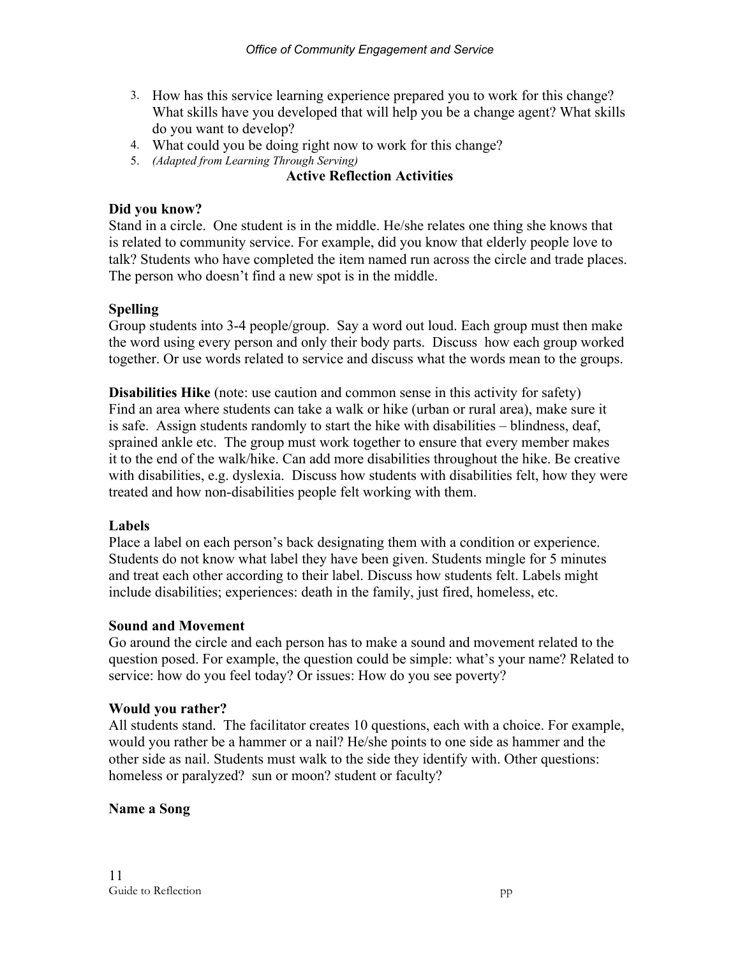- 3. How has this service learning experience prepared you to work for this change? What skills have you developed that will help you be a change agent? What skills do you want to develop?
- 4. What could you be doing right now to work for this change?
- 5. *(Adapted from Learning Through Serving)*

## **Active Reflection Activities**

### **Did you know?**

Stand in a circle. One student is in the middle. He/she relates one thing she knows that is related to community service. For example, did you know that elderly people love to talk? Students who have completed the item named run across the circle and trade places. The person who doesn't find a new spot is in the middle.

## **Spelling**

Group students into 3-4 people/group. Say a word out loud. Each group must then make the word using every person and only their body parts. Discuss how each group worked together. Or use words related to service and discuss what the words mean to the groups.

**Disabilities Hike** (note: use caution and common sense in this activity for safety) Find an area where students can take a walk or hike (urban or rural area), make sure it is safe. Assign students randomly to start the hike with disabilities – blindness, deaf, sprained ankle etc. The group must work together to ensure that every member makes it to the end of the walk/hike. Can add more disabilities throughout the hike. Be creative with disabilities, e.g. dyslexia. Discuss how students with disabilities felt, how they were treated and how non-disabilities people felt working with them.

## **Labels**

Place a label on each person's back designating them with a condition or experience. Students do not know what label they have been given. Students mingle for 5 minutes and treat each other according to their label. Discuss how students felt. Labels might include disabilities; experiences: death in the family, just fired, homeless, etc.

#### **Sound and Movement**

Go around the circle and each person has to make a sound and movement related to the question posed. For example, the question could be simple: what's your name? Related to service: how do you feel today? Or issues: How do you see poverty?

#### **Would you rather?**

All students stand. The facilitator creates 10 questions, each with a choice. For example, would you rather be a hammer or a nail? He/she points to one side as hammer and the other side as nail. Students must walk to the side they identify with. Other questions: homeless or paralyzed? sun or moon? student or faculty?

## **Name a Song**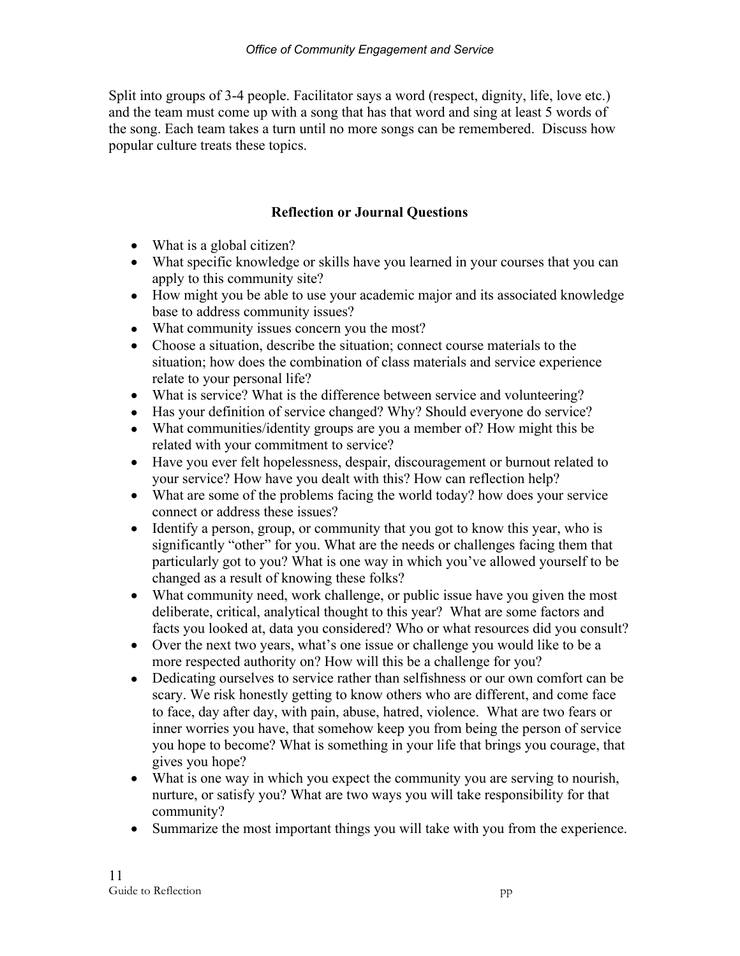Split into groups of 3-4 people. Facilitator says a word (respect, dignity, life, love etc.) and the team must come up with a song that has that word and sing at least 5 words of the song. Each team takes a turn until no more songs can be remembered. Discuss how popular culture treats these topics.

# **Reflection or Journal Questions**

- What is a global citizen?
- What specific knowledge or skills have you learned in your courses that you can apply to this community site?
- How might you be able to use your academic major and its associated knowledge base to address community issues?
- What community issues concern you the most?
- Choose a situation, describe the situation; connect course materials to the situation; how does the combination of class materials and service experience relate to your personal life?
- What is service? What is the difference between service and volunteering?
- Has your definition of service changed? Why? Should everyone do service?
- What communities/identity groups are you a member of? How might this be related with your commitment to service?
- Have you ever felt hopelessness, despair, discouragement or burnout related to your service? How have you dealt with this? How can reflection help?
- What are some of the problems facing the world today? how does your service connect or address these issues?
- Identify a person, group, or community that you got to know this year, who is significantly "other" for you. What are the needs or challenges facing them that particularly got to you? What is one way in which you've allowed yourself to be changed as a result of knowing these folks?
- What community need, work challenge, or public issue have you given the most deliberate, critical, analytical thought to this year? What are some factors and facts you looked at, data you considered? Who or what resources did you consult?
- Over the next two years, what's one issue or challenge you would like to be a more respected authority on? How will this be a challenge for you?
- Dedicating ourselves to service rather than selfishness or our own comfort can be scary. We risk honestly getting to know others who are different, and come face to face, day after day, with pain, abuse, hatred, violence. What are two fears or inner worries you have, that somehow keep you from being the person of service you hope to become? What is something in your life that brings you courage, that gives you hope?
- What is one way in which you expect the community you are serving to nourish, nurture, or satisfy you? What are two ways you will take responsibility for that community?
- Summarize the most important things you will take with you from the experience.